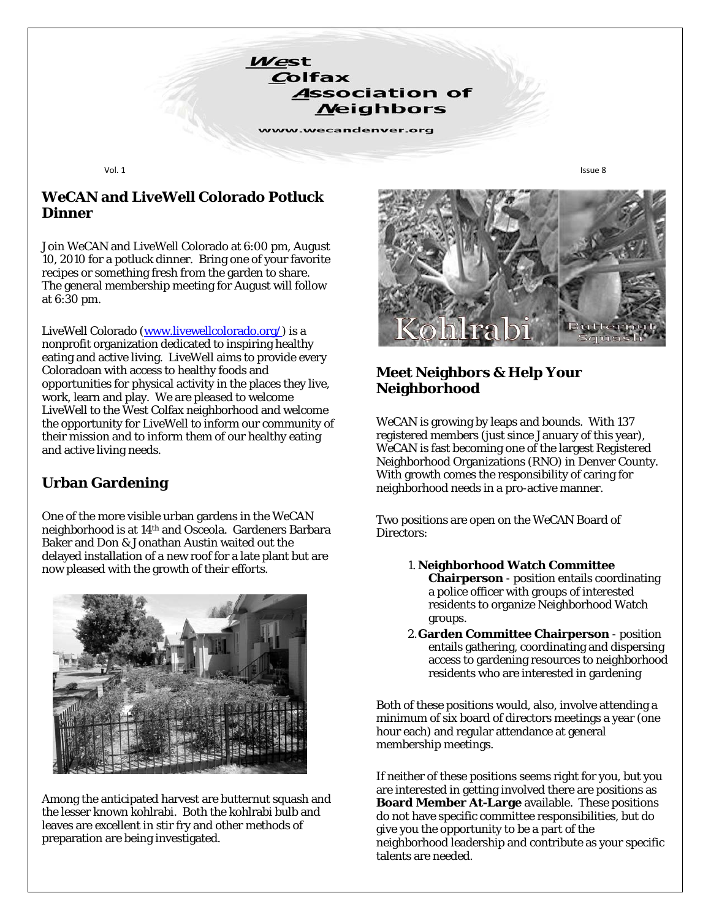Vol. 1 Issue 8

#### *WeCAN* **and LiveWell Colorado Potluck Dinner**

West

Colfax

**Association of Neighbors** 

www.wecandenver.org

Join *WeCAN* and LiveWell Colorado at 6:00 pm, August 10, 2010 for a potluck dinner. Bring one of your favorite recipes or something fresh from the garden to share. The general membership meeting for August will follow at 6:30 pm.

LiveWell Colorado [\(www.livewellcolorado.org/\)](http://www.livewellcolorado.org/) is a nonprofit organization dedicated to inspiring healthy eating and active living. LiveWell aims to provide every Coloradoan with access to healthy foods and opportunities for physical activity in the places they live, work, learn and play. We are pleased to welcome LiveWell to the West Colfax neighborhood and welcome the opportunity for LiveWell to inform our community of their mission and to inform them of our healthy eating and active living needs.

## **Urban Gardening**

One of the more visible urban gardens in the *WeCAN* neighborhood is at 14th and Osceola. Gardeners Barbara Baker and Don & Jonathan Austin waited out the delayed installation of a new roof for a late plant but are now pleased with the growth of their efforts.



Among the anticipated harvest are butternut squash and the lesser known kohlrabi. Both the kohlrabi bulb and leaves are excellent in stir fry and other methods of preparation are being investigated.



#### **Meet Neighbors & Help Your Neighborhood**

*WeCAN* is growing by leaps and bounds. With 137 registered members (just since January of this year), *WeCAN* is fast becoming one of the largest Registered Neighborhood Organizations (RNO) in Denver County. With growth comes the responsibility of caring for neighborhood needs in a pro-active manner.

Two positions are open on the *WeCAN* Board of Directors:

- 1. **Neighborhood Watch Committee Chairperson** - position entails coordinating a police officer with groups of interested residents to organize Neighborhood Watch groups.
- 2.**Garden Committee Chairperson**  position entails gathering, coordinating and dispersing access to gardening resources to neighborhood residents who are interested in gardening

Both of these positions would, also, involve attending a minimum of six board of directors meetings a year (one hour each) and regular attendance at general membership meetings.

If neither of these positions seems right for you, but you are interested in getting involved there are positions as **Board Member At-Large** available. These positions do not have specific committee responsibilities, but do give you the opportunity to be a part of the neighborhood leadership and contribute as your specific talents are needed.